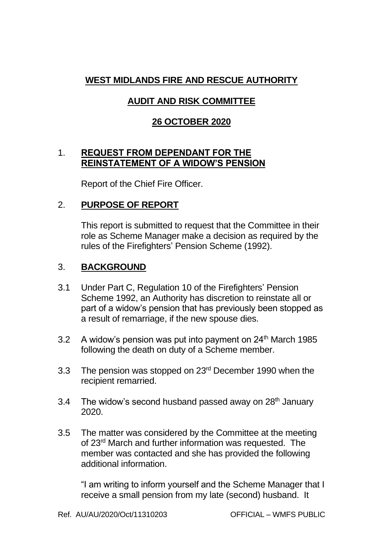# **WEST MIDLANDS FIRE AND RESCUE AUTHORITY**

# **AUDIT AND RISK COMMITTEE**

### **26 OCTOBER 2020**

#### 1. **REQUEST FROM DEPENDANT FOR THE REINSTATEMENT OF A WIDOW'S PENSION**

Report of the Chief Fire Officer.

#### 2. **PURPOSE OF REPORT**

This report is submitted to request that the Committee in their role as Scheme Manager make a decision as required by the rules of the Firefighters' Pension Scheme (1992).

#### 3. **BACKGROUND**

- 3.1 Under Part C, Regulation 10 of the Firefighters' Pension Scheme 1992, an Authority has discretion to reinstate all or part of a widow's pension that has previously been stopped as a result of remarriage, if the new spouse dies.
- 3.2 A widow's pension was put into payment on 24<sup>th</sup> March 1985 following the death on duty of a Scheme member.
- 3.3 The pension was stopped on 23rd December 1990 when the recipient remarried.
- 3.4 The widow's second husband passed away on  $28<sup>th</sup>$  January 2020.
- 3.5 The matter was considered by the Committee at the meeting of 23rd March and further information was requested. The member was contacted and she has provided the following additional information.

"I am writing to inform yourself and the Scheme Manager that I receive a small pension from my late (second) husband. It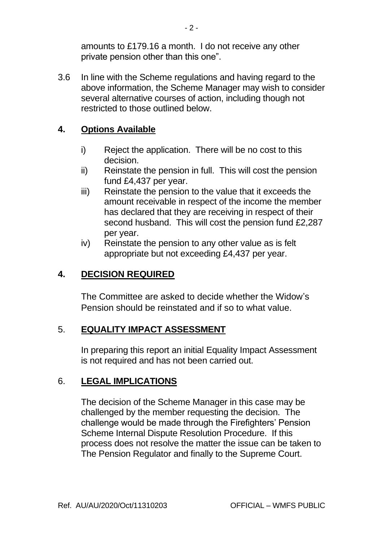amounts to £179.16 a month. I do not receive any other private pension other than this one".

3.6 In line with the Scheme regulations and having regard to the above information, the Scheme Manager may wish to consider several alternative courses of action, including though not restricted to those outlined below.

#### **4. Options Available**

- i) Reject the application. There will be no cost to this decision.
- ii) Reinstate the pension in full. This will cost the pension fund £4,437 per year.
- iii) Reinstate the pension to the value that it exceeds the amount receivable in respect of the income the member has declared that they are receiving in respect of their second husband. This will cost the pension fund £2,287 per year.
- iv) Reinstate the pension to any other value as is felt appropriate but not exceeding £4,437 per year.

### **4. DECISION REQUIRED**

The Committee are asked to decide whether the Widow's Pension should be reinstated and if so to what value.

#### 5. **EQUALITY IMPACT ASSESSMENT**

In preparing this report an initial Equality Impact Assessment is not required and has not been carried out.

## 6. **LEGAL IMPLICATIONS**

The decision of the Scheme Manager in this case may be challenged by the member requesting the decision. The challenge would be made through the Firefighters' Pension Scheme Internal Dispute Resolution Procedure. If this process does not resolve the matter the issue can be taken to The Pension Regulator and finally to the Supreme Court.